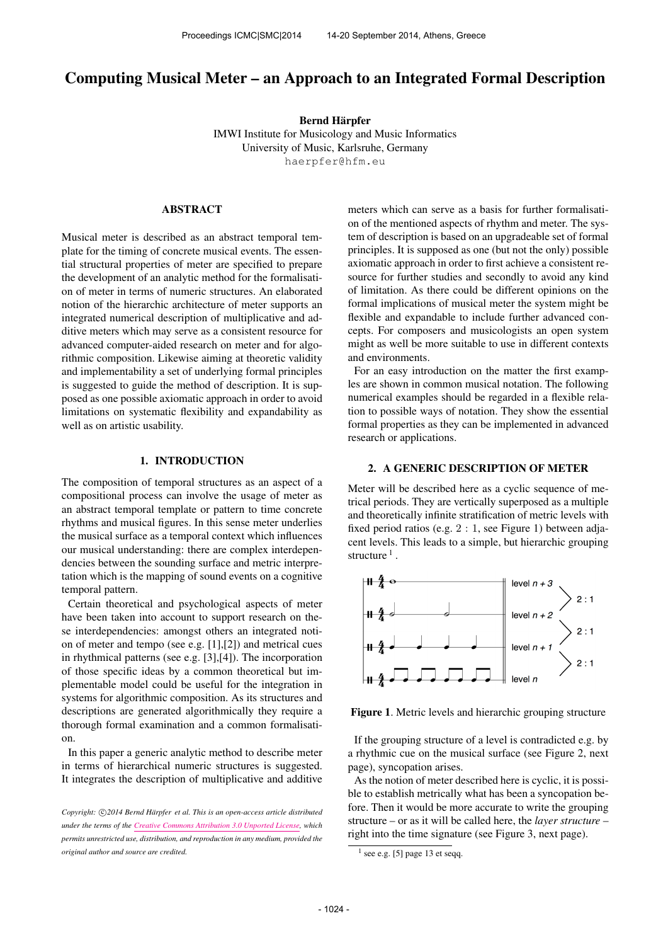# Computing Musical Meter – an Approach to an Integrated Formal Description

Bernd Harpfer ¨ IMWI Institute for Musicology and Music Informatics University of Music, Karlsruhe, Germany [haerpfer@hfm.eu](mailto:haerpfer@hfm.eu)

## ABSTRACT

Musical meter is described as an abstract temporal template for the timing of concrete musical events. The essential structural properties of meter are specified to prepare the development of an analytic method for the formalisation of meter in terms of numeric structures. An elaborated notion of the hierarchic architecture of meter supports an integrated numerical description of multiplicative and additive meters which may serve as a consistent resource for advanced computer-aided research on meter and for algorithmic composition. Likewise aiming at theoretic validity and implementability a set of underlying formal principles is suggested to guide the method of description. It is supposed as one possible axiomatic approach in order to avoid limitations on systematic flexibility and expandability as well as on artistic usability.

### 1. INTRODUCTION

The composition of temporal structures as an aspect of a compositional process can involve the usage of meter as an abstract temporal template or pattern to time concrete rhythms and musical figures. In this sense meter underlies the musical surface as a temporal context which influences our musical understanding: there are complex interdependencies between the sounding surface and metric interpretation which is the mapping of sound events on a cognitive temporal pattern.

Certain theoretical and psychological aspects of meter have been taken into account to support research on these interdependencies: amongst others an integrated notion of meter and tempo (see e.g. [1],[2]) and metrical cues in rhythmical patterns (see e.g. [3],[4]). The incorporation of those specific ideas by a common theoretical but implementable model could be useful for the integration in systems for algorithmic composition. As its structures and descriptions are generated algorithmically they require a thorough formal examination and a common formalisation.

In this paper a generic analytic method to describe meter in terms of hierarchical numeric structures is suggested. It integrates the description of multiplicative and additive meters which can serve as a basis for further formalisation of the mentioned aspects of rhythm and meter. The system of description is based on an upgradeable set of formal principles. It is supposed as one (but not the only) possible axiomatic approach in order to first achieve a consistent resource for further studies and secondly to avoid any kind of limitation. As there could be different opinions on the formal implications of musical meter the system might be flexible and expandable to include further advanced concepts. For composers and musicologists an open system might as well be more suitable to use in different contexts and environments.

For an easy introduction on the matter the first examples are shown in common musical notation. The following numerical examples should be regarded in a flexible relation to possible ways of notation. They show the essential formal properties as they can be implemented in advanced research or applications.

## 2. A GENERIC DESCRIPTION OF METER

Meter will be described here as a cyclic sequence of metrical periods. They are vertically superposed as a multiple and theoretically infinite stratification of metric levels with fixed period ratios (e.g. 2 : 1, see Figure 1) between adjacent levels. This leads to a simple, but hierarchic grouping structure  $<sup>1</sup>$ .</sup>



Figure 1. Metric levels and hierarchic grouping structure

If the grouping structure of a level is contradicted e.g. by a rhythmic cue on the musical surface (see Figure 2, next page), syncopation arises.

As the notion of meter described here is cyclic, it is possible to establish metrically what has been a syncopation before. Then it would be more accurate to write the grouping structure – or as it will be called here, the *layer structure* – right into the time signature (see Figure 3, next page).

Copyright:  $\bigcirc$ 2014 Bernd Härpfer et al. This is an open-access article distributed *under the terms of the [Creative Commons Attribution 3.0 Unported License,](http://creativecommons.org/licenses/by/3.0/) which permits unrestricted use, distribution, and reproduction in any medium, provided the original author and source are credited.*

 $<sup>1</sup>$  see e.g. [5] page 13 et seqq.</sup>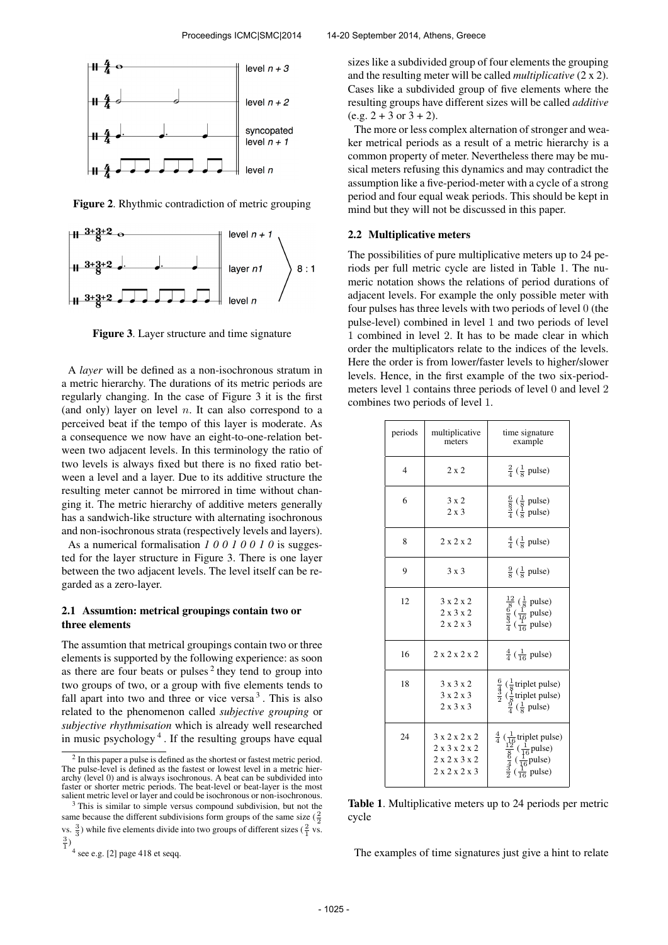

Figure 2. Rhythmic contradiction of metric grouping



Figure 3. Layer structure and time signature

A *layer* will be defined as a non-isochronous stratum in a metric hierarchy. The durations of its metric periods are regularly changing. In the case of Figure 3 it is the first (and only) layer on level  $n$ . It can also correspond to a perceived beat if the tempo of this layer is moderate. As a consequence we now have an eight-to-one-relation between two adjacent levels. In this terminology the ratio of two levels is always fixed but there is no fixed ratio between a level and a layer. Due to its additive structure the resulting meter cannot be mirrored in time without changing it. The metric hierarchy of additive meters generally has a sandwich-like structure with alternating isochronous and non-isochronous strata (respectively levels and layers).

As a numerical formalisation *1 0 0 1 0 0 1 0* is suggested for the layer structure in Figure 3. There is one layer between the two adjacent levels. The level itself can be regarded as a zero-layer.

## 2.1 Assumtion: metrical groupings contain two or three elements

The assumtion that metrical groupings contain two or three elements is supported by the following experience: as soon as there are four beats or pulses<sup>2</sup> they tend to group into two groups of two, or a group with five elements tends to fall apart into two and three or vice versa  $3$ . This is also related to the phenomenon called *subjective grouping* or *subjective rhythmisation* which is already well researched in music psychology <sup>4</sup> . If the resulting groups have equal

sizes like a subdivided group of four elements the grouping and the resulting meter will be called *multiplicative* (2 x 2). Cases like a subdivided group of five elements where the resulting groups have different sizes will be called *additive*  $(e.g. 2 + 3 or 3 + 2).$ 

The more or less complex alternation of stronger and weaker metrical periods as a result of a metric hierarchy is a common property of meter. Nevertheless there may be musical meters refusing this dynamics and may contradict the assumption like a five-period-meter with a cycle of a strong period and four equal weak periods. This should be kept in mind but they will not be discussed in this paper.

### 2.2 Multiplicative meters

The possibilities of pure multiplicative meters up to 24 periods per full metric cycle are listed in Table 1. The numeric notation shows the relations of period durations of adjacent levels. For example the only possible meter with four pulses has three levels with two periods of level 0 (the pulse-level) combined in level 1 and two periods of level 1 combined in level 2. It has to be made clear in which order the multiplicators relate to the indices of the levels. Here the order is from lower/faster levels to higher/slower levels. Hence, in the first example of the two six-periodmeters level 1 contains three periods of level 0 and level 2 combines two periods of level 1.

| periods        | multiplicative<br>meters                                | time signature<br>example                                                                                                                                                 |
|----------------|---------------------------------------------------------|---------------------------------------------------------------------------------------------------------------------------------------------------------------------------|
| $\overline{4}$ | $2 \times 2$                                            | $rac{2}{4}$ ( $rac{1}{8}$ pulse)                                                                                                                                          |
| 6              | 3x2<br>$2 \times 3$                                     | $\frac{6}{8}$ ( $\frac{1}{8}$ pulse)<br>$\frac{3}{4}$ ( $\frac{1}{8}$ pulse)                                                                                              |
| 8              | 2x2x2                                                   | $rac{4}{4}$ ( $rac{1}{8}$ pulse)                                                                                                                                          |
| 9              | $3 \times 3$                                            | $\frac{9}{8}$ ( $\frac{1}{8}$ pulse)                                                                                                                                      |
| 12             | 3x2x2<br>$2 \times 3 \times 2$<br>$2 \times 2 \times 3$ | $\frac{\frac{12}{8}(\frac{1}{8} \text{ pulse})}{\frac{6}{4}(\frac{1}{16} \text{ pulse})}$                                                                                 |
| 16             | 2x2x2x2                                                 | $\frac{4}{4}$ ( $\frac{1}{16}$ pulse)                                                                                                                                     |
| 18             | $3 \times 3 \times 2$<br>3x2x3<br>$2 \times 3 \times 3$ | $rac{6}{\frac{4}{2}}$ ( $rac{1}{8}$ triplet pulse)<br>$rac{3}{2}$ ( $rac{1}{8}$ triplet pulse)<br>$rac{9}{4}$ ( $rac{1}{8}$ pulse)                                        |
| 24             | 3 x 2 x 2 x 2<br>2 x 3 x 2 x 2<br>2x2x3x2<br>2x2x2x3    | $\frac{4}{4}$ ( $\frac{1}{16}$ triplet pulse)<br>$\frac{12}{8}$ ( $\frac{1}{16}$ pulse)<br>$\frac{4}{4}$ ( $\frac{1}{16}$ pulse)<br>$\frac{3}{2}$ ( $\frac{1}{16}$ pulse) |

Table 1. Multiplicative meters up to 24 periods per metric cycle

The examples of time signatures just give a hint to relate

 $2$  In this paper a pulse is defined as the shortest or fastest metric period. The pulse-level is defined as the fastest or lowest level in a metric hierarchy (level 0) and is always isochronous. A beat can be subdivided into faster or shorter metric periods. The beat-level or beat-layer is the most salient metric level or layer and could be isochronous or non-isochronous.

 $3$  This is similar to simple versus compound subdivision, but not the same because the different subdivisions form groups of the same size  $(\frac{2}{2})$ vs.  $\frac{3}{3}$ ) while five elements divide into two groups of different sizes ( $\frac{2}{1}$  vs.  $\frac{3}{1}$ 

<sup>4</sup> see e.g. [2] page 418 et seqq.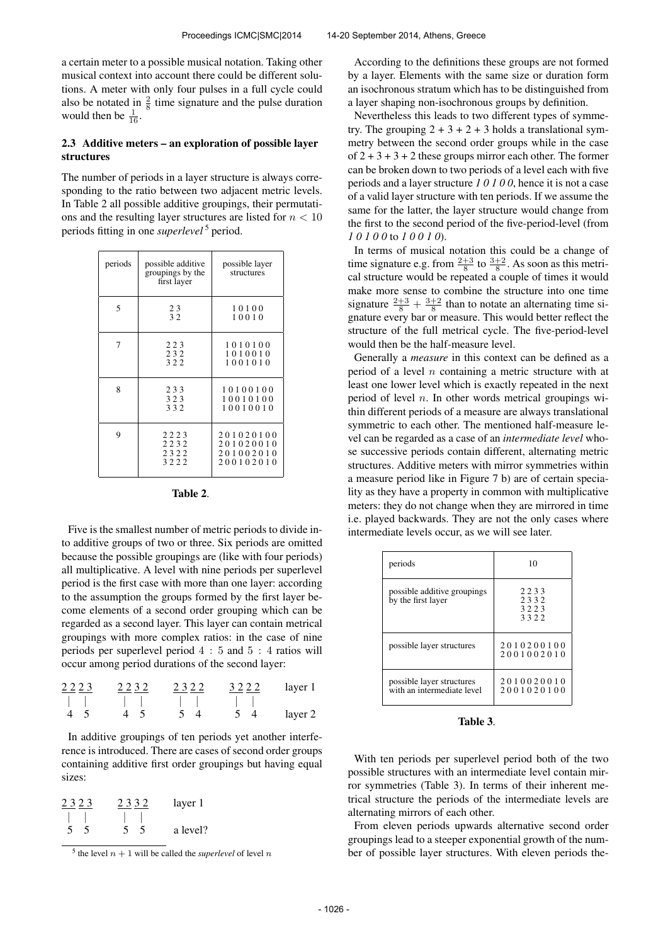a certain meter to a possible musical notation. Taking other musical context into account there could be different solutions. A meter with only four pulses in a full cycle could also be notated in  $\frac{2}{8}$  time signature and the pulse duration would then be  $\frac{1}{16}$ .

## 2.3 Additive meters – an exploration of possible layer structures

The number of periods in a layer structure is always corresponding to the ratio between two adjacent metric levels. In Table 2 all possible additive groupings, their permutations and the resulting layer structures are listed for  $n < 10$ periods fitting in one *superlevel* <sup>5</sup> period.

| periods | possible additive<br>groupings by the<br>first layer | possible layer<br>structures                     |
|---------|------------------------------------------------------|--------------------------------------------------|
| 5       | 23<br>32                                             | 10100<br>10010                                   |
| 7       | 223<br>232<br>322                                    | 1010100<br>1010010<br>1001010                    |
| 8       | 233<br>323<br>332                                    | 10100100<br>10010100<br>10010010                 |
| 9       | 2223<br>2232<br>2322<br>3222                         | 201020100<br>201020010<br>201002010<br>200102010 |

| 'able |  |
|-------|--|
|-------|--|

Five is the smallest number of metric periods to divide into additive groups of two or three. Six periods are omitted because the possible groupings are (like with four periods) all multiplicative. A level with nine periods per superlevel period is the first case with more than one layer: according to the assumption the groups formed by the first layer become elements of a second order grouping which can be regarded as a second layer. This layer can contain metrical groupings with more complex ratios: in the case of nine periods per superlevel period 4 : 5 and 5 : 4 ratios will occur among period durations of the second layer:

| $2223$ | $2232$ | $2322$ | $3222$ | layer 1 |  |
|--------|--------|--------|--------|---------|--|
|        |        |        |        |         |  |
| 4 5    | 4 5    | 5 4    | 5 4    | layer 2 |  |

In additive groupings of ten periods yet another interference is introduced. There are cases of second order groups containing additive first order groupings but having equal sizes:

| 2323    | 2332     | layer 1  |
|---------|----------|----------|
|         |          |          |
| -5<br>5 | -5<br>5. | a level? |

<sup>&</sup>lt;sup>5</sup> the level  $n + 1$  will be called the *superlevel* of level n

According to the definitions these groups are not formed by a layer. Elements with the same size or duration form an isochronous stratum which has to be distinguished from a layer shaping non-isochronous groups by definition.

Nevertheless this leads to two different types of symmetry. The grouping  $2 + 3 + 2 + 3$  holds a translational symmetry between the second order groups while in the case of  $2 + 3 + 3 + 2$  these groups mirror each other. The former can be broken down to two periods of a level each with five periods and a layer structure *1 0 1 0 0*, hence it is not a case of a valid layer structure with ten periods. If we assume the same for the latter, the layer structure would change from the first to the second period of the five-period-level (from *1 0 1 0 0* to *1 0 0 1 0*).

In terms of musical notation this could be a change of time signature e.g. from  $\frac{2+3}{8}$  to  $\frac{3+2}{8}$ . As soon as this metrical structure would be repeated a couple of times it would make more sense to combine the structure into one time signature  $\frac{2+3}{8} + \frac{3+2}{8}$  than to notate an alternating time signature every bar or measure. This would better reflect the structure of the full metrical cycle. The five-period-level would then be the half-measure level.

Generally a *measure* in this context can be defined as a period of a level  $n$  containing a metric structure with at least one lower level which is exactly repeated in the next period of level  $n$ . In other words metrical groupings within different periods of a measure are always translational symmetric to each other. The mentioned half-measure level can be regarded as a case of an *intermediate level* whose successive periods contain different, alternating metric structures. Additive meters with mirror symmetries within a measure period like in Figure 7 b) are of certain speciality as they have a property in common with multiplicative meters: they do not change when they are mirrored in time i.e. played backwards. They are not the only cases where intermediate levels occur, as we will see later.

| periods                                                 | 10                           |
|---------------------------------------------------------|------------------------------|
| possible additive groupings<br>by the first layer       | 2233<br>2332<br>3223<br>3322 |
| possible layer structures                               | 2010200100<br>2001002010     |
| possible layer structures<br>with an intermediate level | 2010020010<br>2001020100     |

Table 3.

With ten periods per superlevel period both of the two possible structures with an intermediate level contain mirror symmetries (Table 3). In terms of their inherent metrical structure the periods of the intermediate levels are alternating mirrors of each other.

From eleven periods upwards alternative second order groupings lead to a steeper exponential growth of the number of possible layer structures. With eleven periods the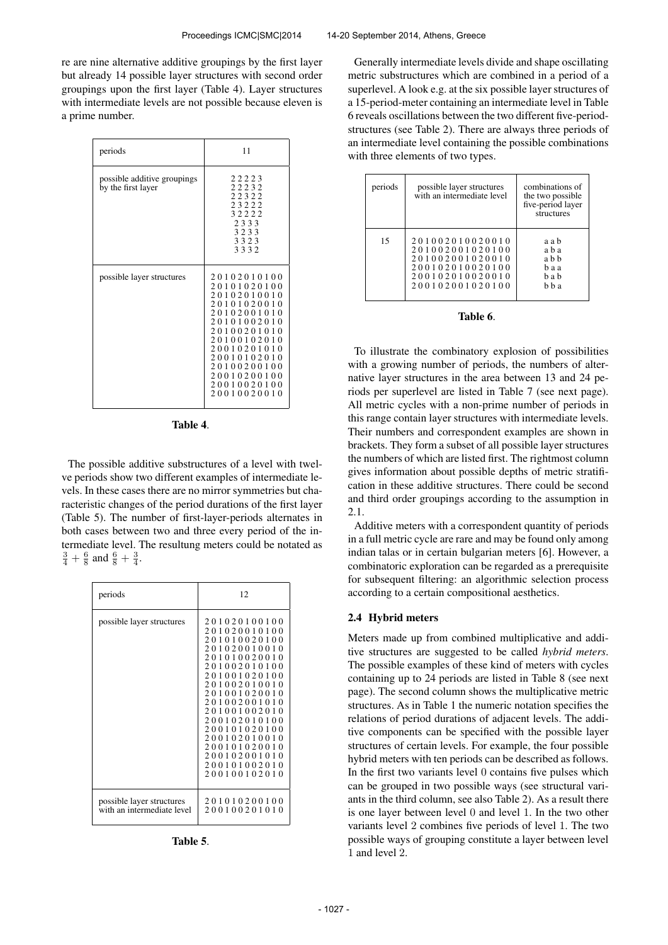re are nine alternative additive groupings by the first layer but already 14 possible layer structures with second order groupings upon the first layer (Table 4). Layer structures with intermediate levels are not possible because eleven is a prime number.

| periods                                           | 11                                                                                                                                                                                                             |
|---------------------------------------------------|----------------------------------------------------------------------------------------------------------------------------------------------------------------------------------------------------------------|
| possible additive groupings<br>by the first layer | 22223<br>22232<br>22322<br>23222<br>32222<br>2333<br>3233<br>3323<br>3332                                                                                                                                      |
| possible layer structures                         | 20102010100<br>20101020100<br>20102010010<br>20101020010<br>20102001010<br>20101002010<br>20100201010<br>20100102010<br>20010201010<br>20010102010<br>20100200100<br>20010200100<br>20010020100<br>20010020010 |

| ı<br>an |  |
|---------|--|
|---------|--|

The possible additive substructures of a level with twelve periods show two different examples of intermediate levels. In these cases there are no mirror symmetries but characteristic changes of the period durations of the first layer (Table 5). The number of first-layer-periods alternates in both cases between two and three every period of the intermediate level. The resultung meters could be notated as  $\frac{3}{4} + \frac{6}{8}$  and  $\frac{6}{8} + \frac{3}{4}$ .

| periods                                                 | 12                                                                                                                                                                                                                                                                                                                                              |
|---------------------------------------------------------|-------------------------------------------------------------------------------------------------------------------------------------------------------------------------------------------------------------------------------------------------------------------------------------------------------------------------------------------------|
| possible layer structures                               | 201020100100<br>201020010100<br>1<br>010020100<br>020010010<br>2.0<br>010020010<br>01<br>002010100<br>001020100<br>002010010<br>$\mathbf{1}$<br>001020010<br>20<br>002001010<br>0.1<br>001002010<br>-1<br>102010100<br>2.00<br>01020100<br>-1<br>00<br>02010010<br>-1<br>00<br>200<br>101020010<br>200102001010<br>200101002010<br>200100102010 |
| possible layer structures<br>with an intermediate level | 201010200100<br>200100201010                                                                                                                                                                                                                                                                                                                    |

Table 5.

Generally intermediate levels divide and shape oscillating metric substructures which are combined in a period of a superlevel. A look e.g. at the six possible layer structures of a 15-period-meter containing an intermediate level in Table 6 reveals oscillations between the two different five-periodstructures (see Table 2). There are always three periods of an intermediate level containing the possible combinations with three elements of two types.

| periods | possible layer structures<br>with an intermediate level                                                        | combinations of<br>the two possible<br>five-period layer<br>structures |
|---------|----------------------------------------------------------------------------------------------------------------|------------------------------------------------------------------------|
| 15      | 201002010020010<br>201002001020100<br>201002001020010<br>200102010020100<br>200102010020010<br>200102001020100 | a a b<br>a b a<br>a b b<br>haa<br>h a h<br>h h a                       |

## Table 6.

To illustrate the combinatory explosion of possibilities with a growing number of periods, the numbers of alternative layer structures in the area between 13 and 24 periods per superlevel are listed in Table 7 (see next page). All metric cycles with a non-prime number of periods in this range contain layer structures with intermediate levels. Their numbers and correspondent examples are shown in brackets. They form a subset of all possible layer structures the numbers of which are listed first. The rightmost column gives information about possible depths of metric stratification in these additive structures. There could be second and third order groupings according to the assumption in 2.1.

Additive meters with a correspondent quantity of periods in a full metric cycle are rare and may be found only among indian talas or in certain bulgarian meters [6]. However, a combinatoric exploration can be regarded as a prerequisite for subsequent filtering: an algorithmic selection process according to a certain compositional aesthetics.

#### 2.4 Hybrid meters

Meters made up from combined multiplicative and additive structures are suggested to be called *hybrid meters*. The possible examples of these kind of meters with cycles containing up to 24 periods are listed in Table 8 (see next page). The second column shows the multiplicative metric structures. As in Table 1 the numeric notation specifies the relations of period durations of adjacent levels. The additive components can be specified with the possible layer structures of certain levels. For example, the four possible hybrid meters with ten periods can be described as follows. In the first two variants level 0 contains five pulses which can be grouped in two possible ways (see structural variants in the third column, see also Table 2). As a result there is one layer between level 0 and level 1. In the two other variants level 2 combines five periods of level 1. The two possible ways of grouping constitute a layer between level 1 and level 2.